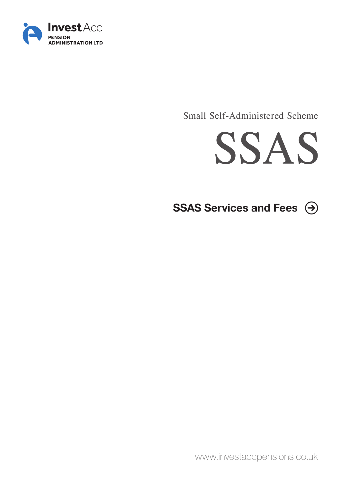

Small Self-Administered Scheme



SSAS Services and Fees  $\Theta$ 

www.investaccpensions.co.uk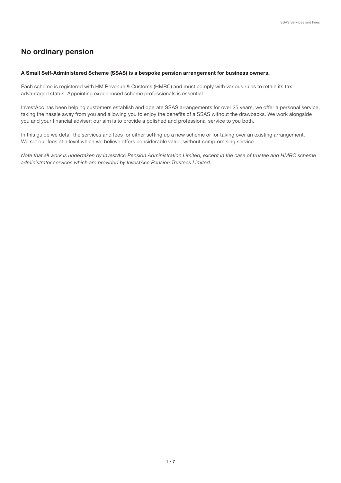# No ordinary pension

#### A Small Self-Administered Scheme (SSAS) is a bespoke pension arrangement for business owners.

Each scheme is registered with HM Revenue & Customs (HMRC) and must comply with various rules to retain its tax advantaged status. Appointing experienced scheme professionals is essential.

InvestAcc has been helping customers establish and operate SSAS arrangements for over 25 years, we offer a personal service, taking the hassle away from you and allowing you to enjoy the benefits of a SSAS without the drawbacks. We work alongside you and your financial adviser; our aim is to provide a polished and professional service to you both.

In this guide we detail the services and fees for either setting up a new scheme or for taking over an existing arrangement. We set our fees at a level which we believe offers considerable value, without compromising service.

*Note that all work is undertaken by InvestAcc Pension Administration Limited, except in the case of trustee and HMRC scheme administrator services which are provided by InvestAcc Pension Trustees Limited.*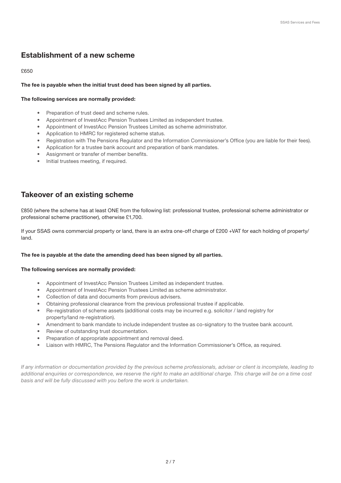# Establishment of a new scheme

## £650

## The fee is payable when the initial trust deed has been signed by all parties.

## The following services are normally provided:

- Preparation of trust deed and scheme rules.
- Appointment of InvestAcc Pension Trustees Limited as independent trustee.
- Appointment of InvestAcc Pension Trustees Limited as scheme administrator.
- Application to HMRC for registered scheme status.
- Registration with The Pensions Regulator and the Information Commissioner's Office (you are liable for their fees).
- Application for a trustee bank account and preparation of bank mandates.
- Assignment or transfer of member benefits.
- Initial trustees meeting, if required.

# Takeover of an existing scheme

£850 (where the scheme has at least ONE from the following list: professional trustee, professional scheme administrator or professional scheme practitioner), otherwise £1,700.

If your SSAS owns commercial property or land, there is an extra one-off charge of £200 +VAT for each holding of property/ land.

### The fee is payable at the date the amending deed has been signed by all parties.

### The following services are normally provided:

- Appointment of InvestAcc Pension Trustees Limited as independent trustee.
- Appointment of InvestAcc Pension Trustees Limited as scheme administrator.
- Collection of data and documents from previous advisers.
- Obtaining professional clearance from the previous professional trustee if applicable.
- Re-registration of scheme assets (additional costs may be incurred e.g. solicitor / land registry for property/land re-registration).
- Amendment to bank mandate to include independent trustee as co-signatory to the trustee bank account.
- Review of outstanding trust documentation.
- Preparation of appropriate appointment and removal deed.
- Liaison with HMRC, The Pensions Regulator and the Information Commissioner's Office, as required.

*If any information or documentation provided by the previous scheme professionals, adviser or client is incomplete, leading to additional enquiries or correspondence, we reserve the right to make an additional charge. This charge will be on a time cost basis and will be fully discussed with you before the work is undertaken.*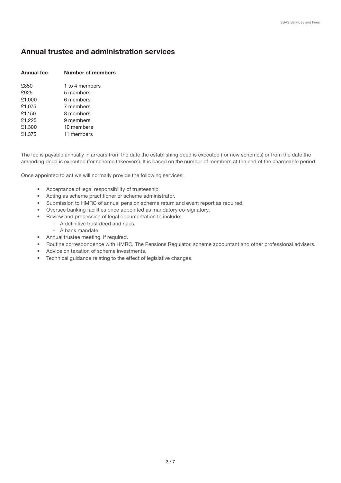# Annual trustee and administration services

| <b>Annual fee</b> | <b>Number of members</b> |  |  |
|-------------------|--------------------------|--|--|
| £850              | 1 to 4 members           |  |  |
| £925              | 5 members                |  |  |
| £1,000            | 6 members                |  |  |
| £1,075            | 7 members                |  |  |
| £1,150            | 8 members                |  |  |
| £1,225            | 9 members                |  |  |
| £1,300            | 10 members               |  |  |
| £1,375            | 11 members               |  |  |

The fee is payable annually in arrears from the date the establishing deed is executed (for new schemes) or from the date the amending deed is executed (for scheme takeovers). It is based on the number of members at the end of the chargeable period.

Once appointed to act we will normally provide the following services:

- Acceptance of legal responsibility of trusteeship.
- Acting as scheme practitioner or scheme administrator.
- Submission to HMRC of annual pension scheme return and event report as required.
- Oversee banking facilities once appointed as mandatory co-signatory.
- Review and processing of legal documentation to include:
	- A definitive trust deed and rules.
		- A bank mandate.
- Annual trustee meeting, if required.
- Routine correspondence with HMRC, The Pensions Regulator, scheme accountant and other professional advisers.
- Advice on taxation of scheme investments.
- Technical guidance relating to the effect of legislative changes.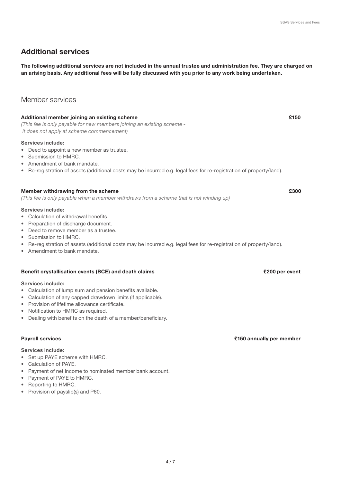# Additional services

The following additional services are not included in the annual trustee and administration fee. They are charged on an arising basis. Any additional fees will be fully discussed with you prior to any work being undertaken.

# Member services

## Additional member joining an existing scheme £150

*(This fee is only payable for new members joining an existing scheme it does not apply at scheme commencement)*

#### Services include:

- Deed to appoint a new member as trustee.
- Submission to HMRC.
- Amendment of bank mandate.
- Re-registration of assets (additional costs may be incurred e.g. legal fees for re-registration of property/land).

#### Member withdrawing from the scheme **E300** and the scheme **E300** and the scheme **E300**

*(This fee is only payable when a member withdraws from a scheme that is not winding up)*

#### Services include:

- Calculation of withdrawal benefits.
- Preparation of discharge document.
- Deed to remove member as a trustee.
- Submission to HMRC.
- Re-registration of assets (additional costs may be incurred e.g. legal fees for re-registration of property/land).
- Amendment to bank mandate.

#### Benefit crystallisation events (BCE) and death claims **EXEC 200 per event** E200 per event

#### Services include:

- Calculation of lump sum and pension benefits available.
- Calculation of any capped drawdown limits (if applicable).
- Provision of lifetime allowance certificate.
- Notification to HMRC as required.
- Dealing with benefits on the death of a member/beneficiary.

## Services include:

- Set up PAYE scheme with HMRC.
- Calculation of PAYE.
- Payment of net income to nominated member bank account.
- Payment of PAYE to HMRC.
- Reporting to HMRC.
- Provision of payslip(s) and P60.

## Payroll services £150 annually per member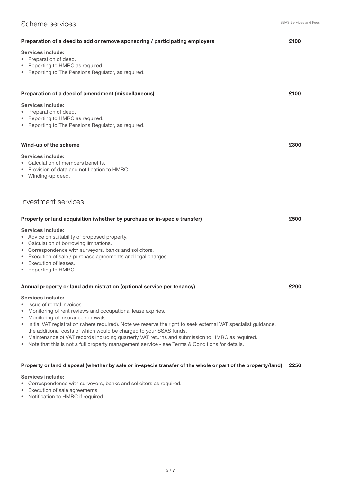# Scheme services

| £100<br>Preparation of a deed to add or remove sponsoring / participating employers                                                                                                                                                                                                              |      |  |  |  |
|--------------------------------------------------------------------------------------------------------------------------------------------------------------------------------------------------------------------------------------------------------------------------------------------------|------|--|--|--|
| <b>Services include:</b><br>• Preparation of deed.<br>• Reporting to HMRC as required.<br>• Reporting to The Pensions Regulator, as required.                                                                                                                                                    |      |  |  |  |
| Preparation of a deed of amendment (miscellaneous)                                                                                                                                                                                                                                               | £100 |  |  |  |
| <b>Services include:</b><br>• Preparation of deed.<br>• Reporting to HMRC as required.<br>• Reporting to The Pensions Regulator, as required.                                                                                                                                                    |      |  |  |  |
| Wind-up of the scheme                                                                                                                                                                                                                                                                            | £300 |  |  |  |
| <b>Services include:</b><br>• Calculation of members benefits.<br>• Provision of data and notification to HMRC.<br>• Winding-up deed.                                                                                                                                                            |      |  |  |  |
| Investment services                                                                                                                                                                                                                                                                              |      |  |  |  |
| Property or land acquisition (whether by purchase or in-specie transfer)                                                                                                                                                                                                                         | £500 |  |  |  |
| <b>Services include:</b><br>• Advice on suitability of proposed property.<br>• Calculation of borrowing limitations.<br>• Correspondence with surveyors, banks and solicitors.<br>• Execution of sale / purchase agreements and legal charges.<br>• Execution of leases.<br>• Reporting to HMRC. |      |  |  |  |
| Annual property or land administration (optional service per tenancy)                                                                                                                                                                                                                            | £200 |  |  |  |
| <b>Services include:</b><br>• Issue of rental invoices.<br>• Monitoring of rent reviews and occupational lease expiries.<br>• Monitoring of insurance renewals.<br>• Initial VAT registration (where required). Note we reserve the right to seek external VAT specialist guidance,              |      |  |  |  |

- the additional costs of which would be charged to your SSAS funds.
- Maintenance of VAT records including quarterly VAT returns and submission to HMRC as required.
- Note that this is not a full property management service see Terms & Conditions for details.

# Property or land disposal (whether by sale or in-specie transfer of the whole or part of the property/land) £250

Services include:

- Correspondence with surveyors, banks and solicitors as required.
- Execution of sale agreements.
- Notification to HMRC if required.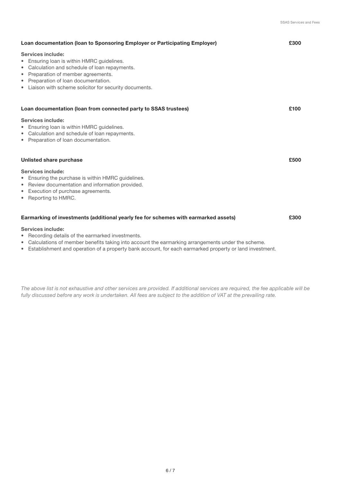| Loan documentation (Ioan to Sponsoring Employer or Participating Employer)                                                                                                                                                                                                |      |  |  |  |
|---------------------------------------------------------------------------------------------------------------------------------------------------------------------------------------------------------------------------------------------------------------------------|------|--|--|--|
| <b>Services include:</b><br>Ensuring Ioan is within HMRC quidelines.<br>Calculation and schedule of loan repayments.<br>۰<br>Preparation of member agreements.<br>۰<br>Preparation of loan documentation.<br>٠<br>• Liaison with scheme solicitor for security documents. |      |  |  |  |
| Loan documentation (loan from connected party to SSAS trustees)                                                                                                                                                                                                           | £100 |  |  |  |
| Services include:<br>Ensuring Ioan is within HMRC quidelines.<br>Calculation and schedule of loan repayments.<br>۰<br>• Preparation of loan documentation.                                                                                                                |      |  |  |  |
| Unlisted share purchase                                                                                                                                                                                                                                                   | £500 |  |  |  |
| Services include:<br>Ensuring the purchase is within HMRC guidelines.<br>Review documentation and information provided.<br>۰<br>Execution of purchase agreements.<br>٠<br>Reporting to HMRC.                                                                              |      |  |  |  |
| Earmarking of investments (additional yearly fee for schemes with earmarked assets)<br>£300                                                                                                                                                                               |      |  |  |  |
| Services include:                                                                                                                                                                                                                                                         |      |  |  |  |

- Recording details of the earmarked investments.
- Calculations of member benefits taking into account the earmarking arrangements under the scheme.
- Establishment and operation of a property bank account, for each earmarked property or land investment.

*The above list is not exhaustive and other services are provided. If additional services are required, the fee applicable will be fully discussed before any work is undertaken. All fees are subject to the addition of VAT at the prevailing rate.*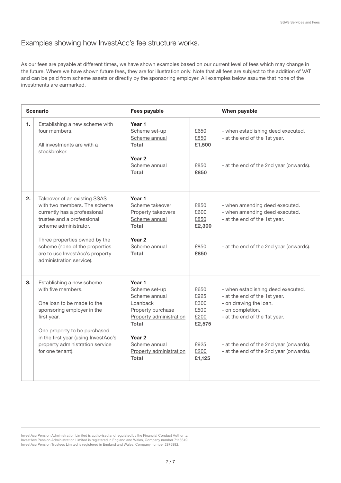# Examples showing how InvestAcc's fee structure works.

As our fees are payable at different times, we have shown examples based on our current level of fees which may change in the future. Where we have shown future fees, they are for illustration only. Note that all fees are subject to the addition of VAT and can be paid from scheme assets or directly by the sponsoring employer. All examples below assume that none of the investments are earmarked.

| <b>Scenario</b> |                                                                                                                                                                                                                                                                                       | Fees payable                                                                                                                                                                                   |                                                                          | When payable                                                                                                                                                                                                                             |
|-----------------|---------------------------------------------------------------------------------------------------------------------------------------------------------------------------------------------------------------------------------------------------------------------------------------|------------------------------------------------------------------------------------------------------------------------------------------------------------------------------------------------|--------------------------------------------------------------------------|------------------------------------------------------------------------------------------------------------------------------------------------------------------------------------------------------------------------------------------|
| 1.              | Establishing a new scheme with<br>four members.<br>All investments are with a<br>stockbroker.                                                                                                                                                                                         | Year 1<br>Scheme set-up<br>Scheme annual<br>Total<br>Year <sub>2</sub><br>Scheme annual<br><b>Total</b>                                                                                        | £650<br>£850<br>£1,500<br>£850<br>£850                                   | - when establishing deed executed.<br>- at the end of the 1st year.<br>- at the end of the 2nd year (onwards).                                                                                                                           |
| 2.              | Takeover of an existing SSAS<br>with two members. The scheme<br>currently has a professional<br>trustee and a professional<br>scheme administrator.<br>Three properties owned by the<br>scheme (none of the properties<br>are to use InvestAcc's property<br>administration service). | Year 1<br>Scheme takeover<br>Property takeovers<br>Scheme annual<br>Total<br>Year <sub>2</sub><br>Scheme annual<br><b>Total</b>                                                                | £850<br>£600<br>£850<br>£2,300<br>£850<br>£850                           | - when amending deed executed.<br>- when amending deed executed.<br>- at the end of the 1st year.<br>- at the end of the 2nd year (onwards).                                                                                             |
| 3.              | Establishing a new scheme<br>with five members.<br>One loan to be made to the<br>sponsoring employer in the<br>first year.<br>One property to be purchased<br>in the first year (using InvestAcc's<br>property administration service<br>for one tenant).                             | Year 1<br>Scheme set-up<br>Scheme annual<br>Loanback<br>Property purchase<br>Property administration<br>Total<br>Year <sub>2</sub><br>Scheme annual<br>Property administration<br><b>Total</b> | £650<br>£925<br>£300<br>£500<br>£200<br>£2,575<br>£925<br>£200<br>£1,125 | - when establishing deed executed.<br>- at the end of the 1st year.<br>- on drawing the loan.<br>- on completion.<br>- at the end of the 1st year.<br>- at the end of the 2nd year (onwards).<br>- at the end of the 2nd year (onwards). |

InvestAcc Pension Administration Limited is authorised and regulated by the Financial Conduct Authority. InvestAcc Pension Administration Limited is registered in England and Wales, Company number 7118349. InvestAcc Pension Trustees Limited is registered in England and Wales, Company number 2875892.